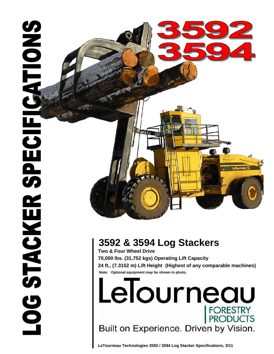

# **3592 & 3594 Log Stackers**

 **Note: Optional equipment may be shown in photo. Two & Four Wheel Drive 70,000 lbs. (31,752 kgs) Operating Lift Capacity 24 ft., (7.3152 m) Lift Height (Highest of any comparable machines)**

LeTourneau FORESTRY<br>PRODUCTS Built on Experience. Driven by Vision.

**LeTourneau Technologies 3592 / 3594 Log Stacker Specifications, 3/11**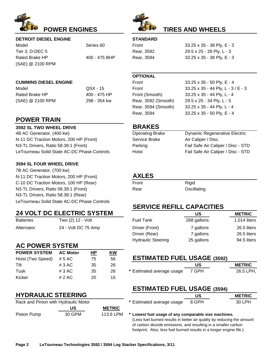



## **TIRES AND WHEELS**

### **DETROIT DIESEL ENGINE**

Model Series 60 Tier 3, D-DEC 5 Rated Brake HP 400 - 475 BHP (SAE) @ 2100 RPM

## **CUMMINS DIESEL ENGINE** FROM THE SERVICE OF THE SERVICE OF THE SERVICE OF THE SERVICE OF THE SERVICE OF THE SERVICE OF THE SERVICE OF THE SERVICE OF THE SERVICE OF THE SERVICE OF THE SERVICE OF THE SERVICE OF THE SERVICE O

Model GSX - 15 F Rated Brake HP 400 - 475 HP (SAE) @ 2100 RPM 298 - 354 kw

## **POWER TRAIN**

#### **3592 SL TWO WHEEL DRIVE**

4B AC Generator, (400 kw) N-11 DC Traction Motors, 200 HP (Front) N3-TL Drivers, Ratio 58.39:1 (Front) LeTourneau Solid State AC-DC Phase Controls

#### **3594 SL FOUR WHEEL DRIVE**

7B AC Generator, (700 kw) N-11 DC Traction Motors, 200 HP (Front) C-10 DC Traction Motors, 100 HP (Rear) N3-TL Drivers, Ratio 58.39:1 (Front) N3-TL Drivers, Ratio 58.39:1 (Rear) LeTourneau Solid State AC-DC Phase Controls

## **24 VOLT DC ELECTRIC SYSTEM**

Batteries Two (2) 12 - Volt Alternator 24 - Volt DC 75 Amp

## **AC POWER SYSTEM**

| <b>POWER SYSTEM</b> | <b>AC Motor</b> | HР | ΚW |
|---------------------|-----------------|----|----|
| Hoist (Two Speed)   | # 5 AC          | 75 | 56 |
| <b>Tilt</b>         | #3AC            | 35 | 26 |
| Tusk                | #3AC            | 35 | 26 |
| Kicker              | # 2 AC          | 20 | 15 |

## **HYDRAULIC STEERING**

| Rack and Pinion with Hydraulic Motor |        |               |  |
|--------------------------------------|--------|---------------|--|
|                                      | US     | <b>METRIC</b> |  |
| Piston Pump                          | 30 GPM | 113.6 LPM     |  |

| ,,,,,,,,,,, |
|-------------|
| Front       |
| Rear, 3592  |
| Rear, 3594  |

**STANDADD** 

33.25 x 35 - 38 Ply, E - 3 33.25 x 35 - 38 Ply, E - 3 29.5 x 25 - 28 Ply, L - 3

## **OPTIONAL**

| Front               | 33.25 x 35 - 50 Ply, E - 4          |
|---------------------|-------------------------------------|
| Front               | 33.25 x 35 - 44 Ply, L - $3/$ E - 3 |
| Front (Smooth)      | 33.25 x 35 - 44 Ply, L - 4          |
| Rear, 3592 (Smooth) | 29.5 x 25 - 34 Ply, L - 5           |
| Rear, 3594 (Smooth) | 33.25 x 35 - 44 Ply, L - 4          |
| Rear, 3594          | 33.25 x 35 - 50 Ply, E - 4          |
|                     |                                     |

## **BRAKES**

| Operating Brake | <b>Dynamic Regenerative Electric</b> |
|-----------------|--------------------------------------|
| Service Brake   | Air Caliper / Disc.                  |
| Parking         | Fail Safe Air Caliper / Disc - STD   |
| Hoist           | Fail Safe Air Caliper / Disc - STD   |
|                 |                                      |

## **AXLES**

| Front | Rigid       |
|-------|-------------|
| Rear  | Oscillating |

## **SERVICE REFILL CAPACITIES**

|                           | US          | <b>METRIC</b>  |
|---------------------------|-------------|----------------|
| Fuel Tank                 | 268 gallons | $1,014$ liters |
| Driver (Front)            | 7 gallons   | 26.5 liters    |
| Driver (Rear)             | 7 gallons   | 26.5 liters    |
| <b>Hydraulic Steering</b> | 25 gallons  | 94.5 liters    |

| ו טייטוער ויום וטוס אים וי |       | .  | <u>іліі</u> |                                    |       |               |
|----------------------------|-------|----|-------------|------------------------------------|-------|---------------|
| Hoist (Two Speed) # 5 AC   |       |    | 56          | <b>ESTIMATED FUEL USAGE (3592)</b> |       |               |
| Tilt                       | #3 AC | 35 | 26          |                                    |       | <b>METRIC</b> |
| Tusk                       | #3AC  | 35 | 26          | * Estimated average usage          | 7 GPH | 26.5 LPH,     |

## **ESTIMATED FUEL USAGE (3594)**

| HYDRAULIC STEERING                   |                                 | <b>METRIC</b> |
|--------------------------------------|---------------------------------|---------------|
| Rack and Pinion with Hydraulic Motor | * Estimated average usage 8 GPH | 30 LPH        |

 $*$  Lowest fuel usage of any comparable size machines. (Less fuel burned results in better air quality by reducing the amount of carbon dioxide emissions, and resulting in a smaller carbon

footprint. Also, less fuel burned results in a longer engine life.)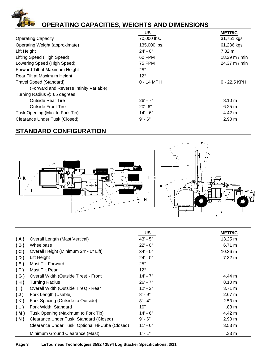# **OPERATING CAPACITIES, WEIGHTS AND DIMENSIONS**

|                                         | US            | <b>METRIC</b>  |
|-----------------------------------------|---------------|----------------|
| <b>Operating Capacity</b>               | 70,000 lbs.   | 31,751 kgs     |
| Operating Weight (approximate)          | 135,000 lbs.  | 61,236 kgs     |
| Lift Height                             | $24' - 0''$   | 7.32 m         |
| Lifting Speed (High Speed)              | 60 FPM        | 18.29 m / min  |
| Lowering Speed (High Speed)             | <b>75 FPM</b> | 24.37 m / min  |
| Forward Tilt at Maximum Height          | $25^\circ$    |                |
| Rear Tilt at Maximum Height             | $12^{\circ}$  |                |
| <b>Travel Speed (Standard)</b>          | $0 - 14$ MPH  | $0 - 22.5$ KPH |
| (Forward and Reverse Infinity Variable) |               |                |
| Turning Radius @ 65 degrees             |               |                |
| <b>Outside Rear Tire</b>                | $26' - 7''$   | 8.10 m         |
| <b>Outside Front Tire</b>               | $20' - 6''$   | 6.25 m         |
| Tusk Opening (Max to Fork Tip)          | $14' - 6"$    | 4.42 m         |
| <b>Clearance Under Tusk (Closed)</b>    | $9' - 6''$    | 2.90 m         |

## **STANDARD CONFIGURATION**

 $\overline{1}$ 



|     |                                                 | <b>US</b>    | <b>METRIC</b>    |
|-----|-------------------------------------------------|--------------|------------------|
| (A) | Overall Length (Mast Vertical)                  | $43' - 5''$  | 13.25 m          |
| (B) | Wheelbase                                       | $22' - 0''$  | 6.71 m           |
| (C) | Overall Height (Minimum 24' - 0" Lift)          | $34' - 0''$  | 10.36 m          |
| (D) | Lift Height                                     | $24' - 0''$  | 7.32 m           |
| (E) | Mast Tilt Forward                               | $25^{\circ}$ |                  |
| (F) | Mast Tilt Rear                                  | $12^{\circ}$ |                  |
| (G) | Overall Width (Outside Tires) - Front           | $14' - 7"$   | 4.44 m           |
| (H) | <b>Turning Radius</b>                           | $26' - 7"$   | 8.10 m           |
| (1) | Overall Width (Outside Tires) - Rear            | $12' - 2''$  | $3.71 \text{ m}$ |
| (J) | Fork Length (Usable)                            | $8' - 9''$   | $2.67 \text{ m}$ |
| (K) | Fork Spacing (Outside to Outside)               | $8' - 4"$    | $2.53 \text{ m}$ |
| (L) | Fork Width, Standard                            | 10"          | .83 m            |
| (M) | Tusk Opening (Maximum to Fork Tip)              | 14' - 6"     | 4.42 m           |
| (N) | Clearance Under Tusk, Standard (Closed)         | $9' - 6''$   | 2.90 m           |
|     | Clearance Under Tusk, Optional Hi-Cube (Closed) | $11' - 6"$   | $3.53 \text{ m}$ |
|     | Minimum Ground Clearance (Mast)                 | $1' - 1''$   | .33 <sub>m</sub> |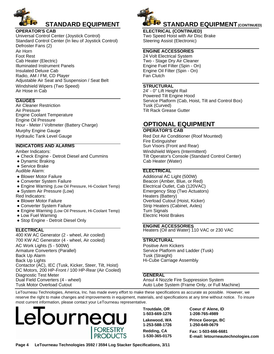

## **STANDARD EQUIPMENT**

#### **OPERATOR'S CAB**

Adjustable Air Seat and Suspension / Seat Belt Radio, AM / FM, CD Player Air Horn Foot Rest Cab Heater (Electric) Universal Control Center (Joystick Control) Standard Control Center (In lieu of Joystick Control) Defroster Fans (2) Windshield Wipers (Two Speed) Air Hose in Cab Illuminated Instrument Panels Insulated Deluxe Cab

#### **GAUGES**

Air Pressure Hour - Meter / Voltmeter (Battery Charge) Engine Oil Pressure Murphy Engine Gauge Engine Coolant Temperature Air Cleaner Restriction Hydraulic Tank Level Gauge

Amber Indicators:

- Check Engine Detroit Diesel and Cummins
- Dynamic Braking
- Service Brake

Audible Alarm: Audible

- Blower Motor Failure
- Converter System Failure
- Engine Warning (Low Oil Pressure, Hi-Coolant Temp)
- System Air Pressure (Low)

Red Indicators:

- Blower Motor Failure
- Converter System Failure
- Engine Warning (Low Oil Pressure, Hi-Coolant Temp)
- Low Fuel Warning
- Stop Engine Detroit Diesel Only

DC Motors, 200 HP-Front / 100 HP-Rear (Air Cooled) Diagnostic Test Meter Dual Field Converters (4 - wheel) Contactor (AC), IEC (Tusk, Kicker, Steer, Tilt, Hoist) Back Up Lights Back Up Alarm 700 KW AC Generator (4 - wheel, Air cooled) 400 KW AC Generator (2 - wheel, Air cooled) AC Work Lights (5 - 500W) Tusk Motor Overload Cutout Armature Converters (Parallel)



**STANDARD EQUIPMENT (CONTINUED)** 

**ELECTRICAL (CONTINUED)** Two Speed Hoist with Air Disc Brake Steering Assist (Electronic)

#### **ENGINE ACCESSORIES**

Engine Fuel Filter (Spin - On) Engine Oil Filter (Spin - On) Fan Clutch 24 Volt Electrical System Two - Stage Dry Air Cleaner

#### **STRUCTURAL**

Service Platform (Cab, Hoist, Tilt and Control Box) 24' - 0" Lift Height Rail Powered Tilt Engine Hood Tilt Rack Grease Gutter Tusk (Curved)

## **OPTIONAL EQUIPMENT**

## **OPERATOR'S CAB**

Red Dot Air Conditioner (Roof Mounted) Fire Extinguisher **INDICATORS AND ALARMS** Sun Visors (Front and Rear) Windshield Wipers (Intermittent) Tilt Operator's Console (Standard Control Center) Cab Heater (Water)

#### **ELECTRICAL**

Additional AC Light (500W) Beacon (Amber, Blue, or Red) Electrical Outlet, Cab (120VAC) Emergency Stop (Two Actuators) Heaters (Battery) Overload Cutout (Hoist, Kicker) Strip Heaters (Cabinet, Axles) Turn Signals Electric Hoist Brakes

## **ENGINE ACCESSORIES**

**ELECTRICAL ELECTRICAL Heaters (Oil and Water) 110 VAC or 230 VAC** 

#### **STRUCTURAL**

Positive Arm Kickers Service Platform and Ladder (Tusk) Tusk (Straight) Hi-Cube Carriage Assembly

#### **GENERAL**

Ansul 4 Nozzle Fire Suppression System Auto Lube System (Frame Only, or Full Machine)

LeTourneau Technologies, America, Inc. has made every effort to make these specifications as accurate as possible. However, we reserve the right to make changes and improvements in equipment, materials, and specifications at any time without notice. To insure most current information, please contact your LeTourneau representative.



**Lakewood, WA 1-253-588-1726 Redding, CA 1-530-365-0175**

**Troutdale, OR Coeur d' Alene, ID 1-503-669-1276 1-208-765-4989**

> **1-250-649-0679 Prince George, BC**

**Fax: 1-503-666-6681 E-mail: letourneautechnologies com**